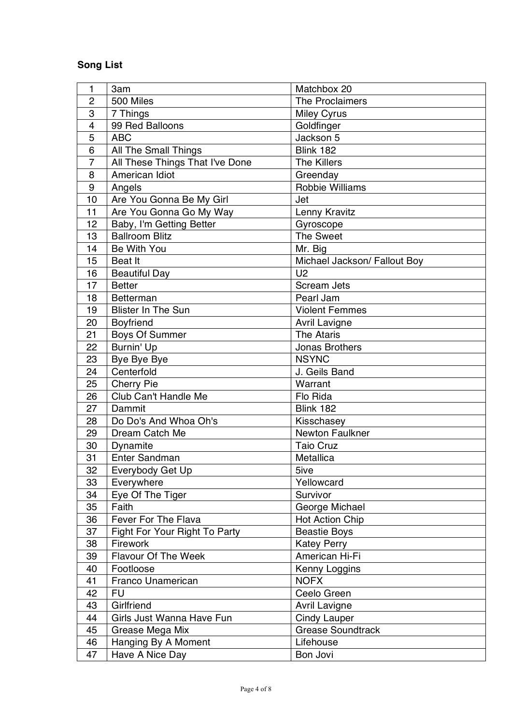## **Song List**

| 1                | 3am                             | Matchbox 20                  |
|------------------|---------------------------------|------------------------------|
| $\overline{c}$   | 500 Miles                       | The Proclaimers              |
| 3                | 7 Things                        | <b>Miley Cyrus</b>           |
| $\overline{4}$   | 99 Red Balloons                 | Goldfinger                   |
| 5                | <b>ABC</b>                      | Jackson 5                    |
| 6                | All The Small Things            | <b>Blink 182</b>             |
| $\overline{7}$   | All These Things That I've Done | <b>The Killers</b>           |
| 8                | American Idiot                  | Greenday                     |
| $\boldsymbol{9}$ | Angels                          | Robbie Williams              |
| 10               | Are You Gonna Be My Girl        | Jet                          |
| 11               | Are You Gonna Go My Way         | Lenny Kravitz                |
| 12               | Baby, I'm Getting Better        | Gyroscope                    |
| 13               | <b>Ballroom Blitz</b>           | <b>The Sweet</b>             |
| 14               | Be With You                     | Mr. Big                      |
| 15               | <b>Beat It</b>                  | Michael Jackson/ Fallout Boy |
| 16               | <b>Beautiful Day</b>            | U <sub>2</sub>               |
| 17               | <b>Better</b>                   | <b>Scream Jets</b>           |
| 18               | <b>Betterman</b>                | Pearl Jam                    |
| 19               | <b>Blister In The Sun</b>       | <b>Violent Femmes</b>        |
| 20               | Boyfriend                       | <b>Avril Lavigne</b>         |
| 21               | <b>Boys Of Summer</b>           | <b>The Ataris</b>            |
| 22               | Burnin' Up                      | Jonas Brothers               |
| 23               | Bye Bye Bye                     | <b>NSYNC</b>                 |
| 24               | Centerfold                      | J. Geils Band                |
| 25               | <b>Cherry Pie</b>               | Warrant                      |
| 26               | Club Can't Handle Me            | Flo Rida                     |
| 27               | Dammit                          | <b>Blink 182</b>             |
| 28               | Do Do's And Whoa Oh's           | Kisschasey                   |
| 29               | Dream Catch Me                  | Newton Faulkner              |
| 30               | Dynamite                        | <b>Taio Cruz</b>             |
| 31               | <b>Enter Sandman</b>            | Metallica                    |
| 32               | Everybody Get Up                | 5ive                         |
| 33               | Everywhere                      | Yellowcard                   |
| 34               | Eye Of The Tiger                | Survivor                     |
| 35               | Faith                           | George Michael               |
| 36               | Fever For The Flava             | <b>Hot Action Chip</b>       |
| 37               | Fight For Your Right To Party   | <b>Beastie Boys</b>          |
| 38               | Firework                        | <b>Katey Perry</b>           |
| 39               | <b>Flavour Of The Week</b>      | American Hi-Fi               |
| 40               | Footloose                       | Kenny Loggins                |
| 41               | Franco Unamerican               | <b>NOFX</b>                  |
| 42               | <b>FU</b>                       | Ceelo Green                  |
| 43               | Girlfriend                      | <b>Avril Lavigne</b>         |
| 44               | Girls Just Wanna Have Fun       | <b>Cindy Lauper</b>          |
| 45               | Grease Mega Mix                 | <b>Grease Soundtrack</b>     |
| 46               | Hanging By A Moment             | Lifehouse                    |
| 47               | Have A Nice Day                 | Bon Jovi                     |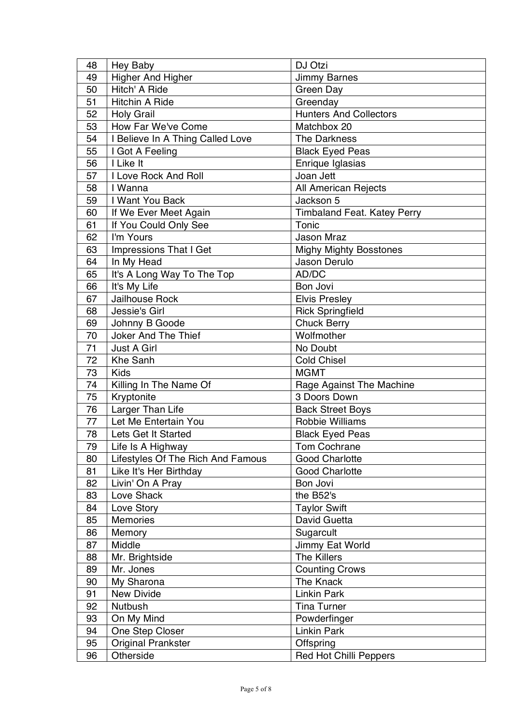| 48 | Hey Baby                          | DJ Otzi                            |
|----|-----------------------------------|------------------------------------|
| 49 | Higher And Higher                 | <b>Jimmy Barnes</b>                |
| 50 | Hitch' A Ride                     | Green Day                          |
| 51 | <b>Hitchin A Ride</b>             | Greenday                           |
| 52 | <b>Holy Grail</b>                 | <b>Hunters And Collectors</b>      |
| 53 | How Far We've Come                | Matchbox 20                        |
| 54 | I Believe In A Thing Called Love  | The Darkness                       |
| 55 | I Got A Feeling                   | <b>Black Eyed Peas</b>             |
| 56 | I Like It                         | Enrique Iglasias                   |
| 57 | I Love Rock And Roll              | Joan Jett                          |
| 58 | I Wanna                           | All American Rejects               |
| 59 | I Want You Back                   | Jackson 5                          |
| 60 | If We Ever Meet Again             | <b>Timbaland Feat. Katey Perry</b> |
| 61 | If You Could Only See             | Tonic                              |
| 62 | I'm Yours                         | Jason Mraz                         |
| 63 | <b>Impressions That I Get</b>     | <b>Mighy Mighty Bosstones</b>      |
| 64 | In My Head                        | Jason Derulo                       |
| 65 | It's A Long Way To The Top        | AD/DC                              |
| 66 | It's My Life                      | Bon Jovi                           |
| 67 | Jailhouse Rock                    | <b>Elvis Presley</b>               |
| 68 | Jessie's Girl                     | <b>Rick Springfield</b>            |
| 69 | Johnny B Goode                    | <b>Chuck Berry</b>                 |
| 70 | Joker And The Thief               | Wolfmother                         |
| 71 | Just A Girl                       | No Doubt                           |
| 72 | Khe Sanh                          | <b>Cold Chisel</b>                 |
| 73 | <b>Kids</b>                       | <b>MGMT</b>                        |
| 74 | Killing In The Name Of            | Rage Against The Machine           |
| 75 | Kryptonite                        | 3 Doors Down                       |
| 76 | Larger Than Life                  | <b>Back Street Boys</b>            |
| 77 | Let Me Entertain You              | Robbie Williams                    |
| 78 | Lets Get It Started               | <b>Black Eyed Peas</b>             |
| 79 | Life Is A Highway                 | Tom Cochrane                       |
| 80 | Lifestyles Of The Rich And Famous | <b>Good Charlotte</b>              |
| 81 | Like It's Her Birthday            | <b>Good Charlotte</b>              |
| 82 | Livin' On A Pray                  | Bon Jovi                           |
| 83 | Love Shack                        | the B52's                          |
| 84 | Love Story                        | <b>Taylor Swift</b>                |
| 85 | <b>Memories</b>                   | David Guetta                       |
| 86 | Memory                            | Sugarcult                          |
| 87 | Middle                            | Jimmy Eat World                    |
| 88 | Mr. Brightside                    | <b>The Killers</b>                 |
| 89 | Mr. Jones                         | <b>Counting Crows</b>              |
| 90 | My Sharona                        | The Knack                          |
| 91 | New Divide                        | <b>Linkin Park</b>                 |
| 92 | <b>Nutbush</b>                    | <b>Tina Turner</b>                 |
| 93 | On My Mind                        | Powderfinger                       |
| 94 | One Step Closer                   | <b>Linkin Park</b>                 |
| 95 | <b>Original Prankster</b>         | Offspring                          |
| 96 | Otherside                         | <b>Red Hot Chilli Peppers</b>      |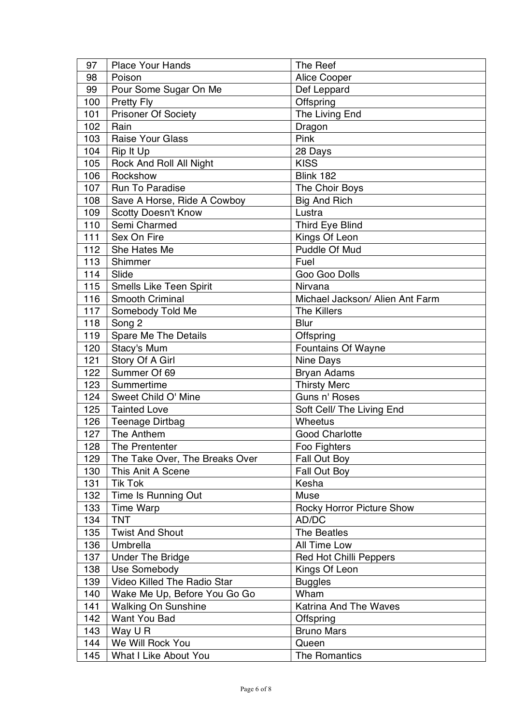| 97  | <b>Place Your Hands</b>        | The Reef                         |
|-----|--------------------------------|----------------------------------|
| 98  | Poison                         | Alice Cooper                     |
| 99  | Pour Some Sugar On Me          | Def Leppard                      |
| 100 | <b>Pretty Fly</b>              | Offspring                        |
| 101 | Prisoner Of Society            | The Living End                   |
| 102 | Rain                           | Dragon                           |
| 103 | <b>Raise Your Glass</b>        | Pink                             |
| 104 | Rip It Up                      | 28 Days                          |
| 105 | Rock And Roll All Night        | <b>KISS</b>                      |
| 106 | Rockshow                       | Blink 182                        |
| 107 | Run To Paradise                | The Choir Boys                   |
| 108 | Save A Horse, Ride A Cowboy    | <b>Big And Rich</b>              |
| 109 | Scotty Doesn't Know            | Lustra                           |
| 110 | Semi Charmed                   | Third Eye Blind                  |
| 111 | Sex On Fire                    | Kings Of Leon                    |
| 112 | She Hates Me                   | Puddle Of Mud                    |
| 113 | Shimmer                        | Fuel                             |
| 114 | Slide                          | Goo Goo Dolls                    |
| 115 | Smells Like Teen Spirit        | Nirvana                          |
| 116 | Smooth Criminal                | Michael Jackson/ Alien Ant Farm  |
| 117 | Somebody Told Me               | <b>The Killers</b>               |
| 118 | Song 2                         | Blur                             |
| 119 | Spare Me The Details           | Offspring                        |
| 120 | Stacy's Mum                    | Fountains Of Wayne               |
| 121 | Story Of A Girl                | Nine Days                        |
| 122 | Summer Of 69                   | <b>Bryan Adams</b>               |
| 123 | Summertime                     | <b>Thirsty Merc</b>              |
| 124 | Sweet Child O' Mine            | Guns n' Roses                    |
| 125 | <b>Tainted Love</b>            | Soft Cell/ The Living End        |
| 126 | <b>Teenage Dirtbag</b>         | Wheetus                          |
| 127 | The Anthem                     | <b>Good Charlotte</b>            |
| 128 | The Prententer                 | Foo Fighters                     |
| 129 | The Take Over, The Breaks Over | Fall Out Boy                     |
| 130 | This Anit A Scene              | Fall Out Boy                     |
| 131 | <b>Tik Tok</b>                 | Kesha                            |
| 132 | Time Is Running Out            | Muse                             |
| 133 | <b>Time Warp</b>               | <b>Rocky Horror Picture Show</b> |
| 134 | <b>TNT</b>                     | AD/DC                            |
| 135 | <b>Twist And Shout</b>         | The Beatles                      |
| 136 | Umbrella                       | All Time Low                     |
| 137 | <b>Under The Bridge</b>        | <b>Red Hot Chilli Peppers</b>    |
| 138 | Use Somebody                   | Kings Of Leon                    |
| 139 | Video Killed The Radio Star    | <b>Buggles</b>                   |
| 140 | Wake Me Up, Before You Go Go   | Wham                             |
| 141 | <b>Walking On Sunshine</b>     | Katrina And The Waves            |
| 142 | Want You Bad                   | Offspring                        |
| 143 | Way U R                        | <b>Bruno Mars</b>                |
| 144 | We Will Rock You               | Queen                            |
| 145 | What I Like About You          | The Romantics                    |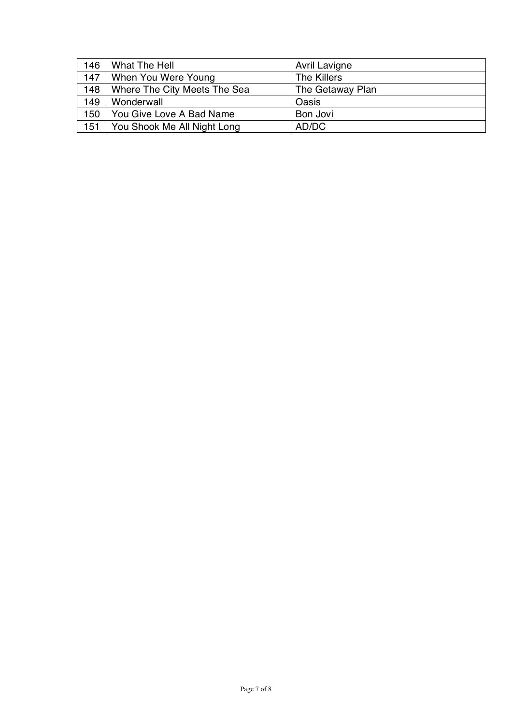| 146 | What The Hell                | Avril Lavigne    |
|-----|------------------------------|------------------|
| 147 | When You Were Young          | The Killers      |
| 148 | Where The City Meets The Sea | The Getaway Plan |
| 149 | Wonderwall                   | Oasis            |
| 150 | You Give Love A Bad Name     | Bon Jovi         |
| 151 | You Shook Me All Night Long  | AD/DC            |